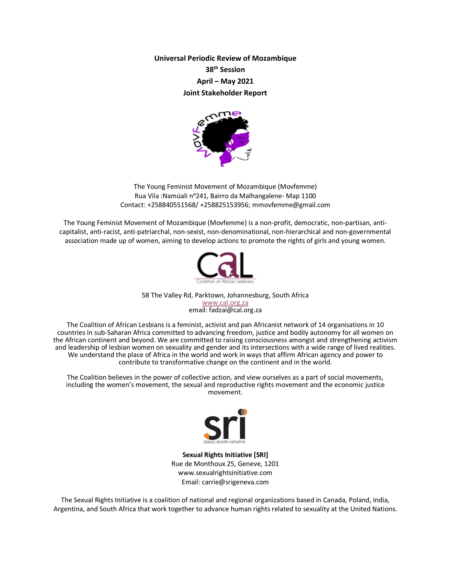**Universal Periodic Review of Mozambique 38th Session April – May 2021 Joint Stakeholder Report** 



The Young Feminist Movement of Mozambique (Movfemme) Rua Vila :Namúali nᵒ241, Bairro da Malhangalene- Map 1100 Contact: +258840551568/ +258825153956; mmovfemme@gmail.com

The Young Feminist Movement of Mozambique (Movfemme) is a non-profit, democratic, non-partisan, anticapitalist, anti-racist, anti-patriarchal, non-sexist, non-denominational, non-hierarchical and non-governmental association made up of women, aiming to develop actions to promote the rights of girls and young women.



58 The Valley Rd, Parktown, Johannesburg, South Africa www.cal.org.za email: fadzai@cal.org.za

The Coalition of African Lesbians is a feminist, activist and pan Africanist network of 14 organisations in 10 countries in sub-Saharan Africa committed to advancing freedom, justice and bodily autonomy for all women on the African continent and beyond. We are committed to raising consciousness amongst and strengthening activism and leadership of lesbian women on sexuality and gender and its intersections with a wide range of lived realities. We understand the place of Africa in the world and work in ways that affirm African agency and power to contribute to transformative change on the continent and in the world.

The Coalition believes in the power of collective action, and view ourselves as a part of social movements, including the women's movement, the sexual and reproductive rights movement and the economic justice movement.



**Sexual Rights Initiative [SRI]** Rue de Monthoux 25, Geneve, 1201 www.sexualrightsinitiative.com Email: carrie@srigeneva.com

The Sexual Rights Initiative is a coalition of national and regional organizations based in Canada, Poland, India, Argentina, and South Africa that work together to advance human rights related to sexuality at the United Nations.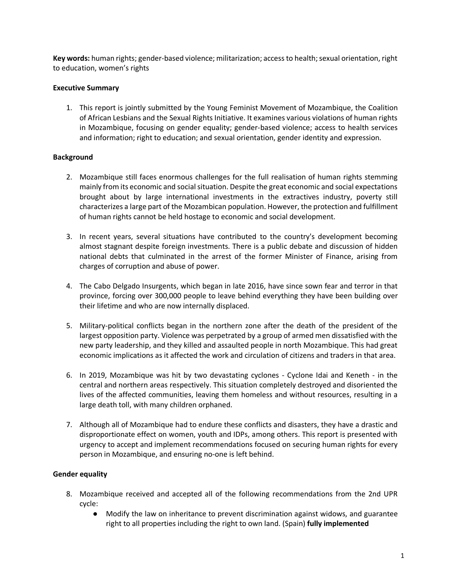**Key words:** human rights; gender-based violence; militarization; access to health; sexual orientation, right to education, women's rights

### **Executive Summary**

1. This report is jointly submitted by the Young Feminist Movement of Mozambique, the Coalition of African Lesbians and the Sexual Rights Initiative. It examines various violations of human rights in Mozambique, focusing on gender equality; gender-based violence; access to health services and information; right to education; and sexual orientation, gender identity and expression.

## **Background**

- 2. Mozambique still faces enormous challenges for the full realisation of human rights stemming mainly from its economic and social situation. Despite the great economic and social expectations brought about by large international investments in the extractives industry, poverty still characterizes a large part of the Mozambican population. However, the protection and fulfillment of human rights cannot be held hostage to economic and social development.
- 3. In recent years, several situations have contributed to the country's development becoming almost stagnant despite foreign investments. There is a public debate and discussion of hidden national debts that culminated in the arrest of the former Minister of Finance, arising from charges of corruption and abuse of power.
- 4. The Cabo Delgado Insurgents, which began in late 2016, have since sown fear and terror in that province, forcing over 300,000 people to leave behind everything they have been building over their lifetime and who are now internally displaced.
- 5. Military-political conflicts began in the northern zone after the death of the president of the largest opposition party. Violence was perpetrated by a group of armed men dissatisfied with the new party leadership, and they killed and assaulted people in north Mozambique. This had great economic implications as it affected the work and circulation of citizens and traders in that area.
- 6. In 2019, Mozambique was hit by two devastating cyclones Cyclone Idai and Keneth in the central and northern areas respectively. This situation completely destroyed and disoriented the lives of the affected communities, leaving them homeless and without resources, resulting in a large death toll, with many children orphaned.
- 7. Although all of Mozambique had to endure these conflicts and disasters, they have a drastic and disproportionate effect on women, youth and IDPs, among others. This report is presented with urgency to accept and implement recommendations focused on securing human rights for every person in Mozambique, and ensuring no-one is left behind.

# **Gender equality**

- 8. Mozambique received and accepted all of the following recommendations from the 2nd UPR cycle:
	- Modify the law on inheritance to prevent discrimination against widows, and guarantee right to all properties including the right to own land. (Spain) **fully implemented**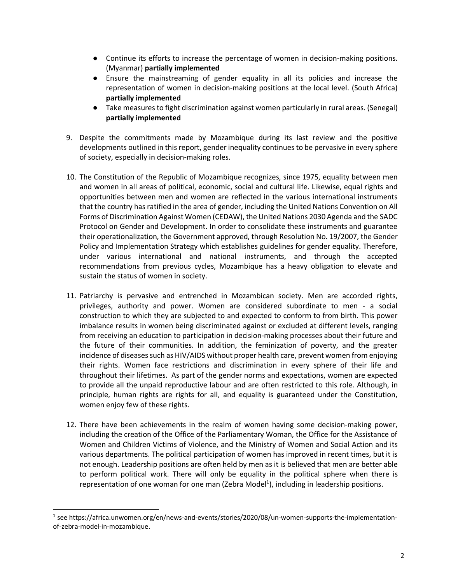- Continue its efforts to increase the percentage of women in decision-making positions. (Myanmar) **partially implemented**
- Ensure the mainstreaming of gender equality in all its policies and increase the representation of women in decision-making positions at the local level. (South Africa) **partially implemented**
- Take measures to fight discrimination against women particularly in rural areas. (Senegal) **partially implemented**
- 9. Despite the commitments made by Mozambique during its last review and the positive developments outlined in this report, gender inequality continues to be pervasive in every sphere of society, especially in decision-making roles.
- 10. The Constitution of the Republic of Mozambique recognizes, since 1975, equality between men and women in all areas of political, economic, social and cultural life. Likewise, equal rights and opportunities between men and women are reflected in the various international instruments that the country has ratified in the area of gender, including the United Nations Convention on All Forms of Discrimination Against Women (CEDAW), the United Nations 2030 Agenda and the SADC Protocol on Gender and Development. In order to consolidate these instruments and guarantee their operationalization, the Government approved, through Resolution No. 19/2007, the Gender Policy and Implementation Strategy which establishes guidelines for gender equality. Therefore, under various international and national instruments, and through the accepted recommendations from previous cycles, Mozambique has a heavy obligation to elevate and sustain the status of women in society.
- 11. Patriarchy is pervasive and entrenched in Mozambican society. Men are accorded rights, privileges, authority and power. Women are considered subordinate to men - a social construction to which they are subjected to and expected to conform to from birth. This power imbalance results in women being discriminated against or excluded at different levels, ranging from receiving an education to participation in decision-making processes about their future and the future of their communities. In addition, the feminization of poverty, and the greater incidence of diseases such as HIV/AIDS without proper health care, prevent women from enjoying their rights. Women face restrictions and discrimination in every sphere of their life and throughout their lifetimes. As part of the gender norms and expectations, women are expected to provide all the unpaid reproductive labour and are often restricted to this role. Although, in principle, human rights are rights for all, and equality is guaranteed under the Constitution, women enjoy few of these rights.
- 12. There have been achievements in the realm of women having some decision-making power, including the creation of the Office of the Parliamentary Woman, the Office for the Assistance of Women and Children Victims of Violence, and the Ministry of Women and Social Action and its various departments. The political participation of women has improved in recent times, but it is not enough. Leadership positions are often held by men as it is believed that men are better able to perform political work. There will only be equality in the political sphere when there is representation of one woman for one man (Zebra Model<sup>1</sup>), including in leadership positions.

 $1$  see https://africa.unwomen.org/en/news-and-events/stories/2020/08/un-women-supports-the-implementationof-zebra-model-in-mozambique.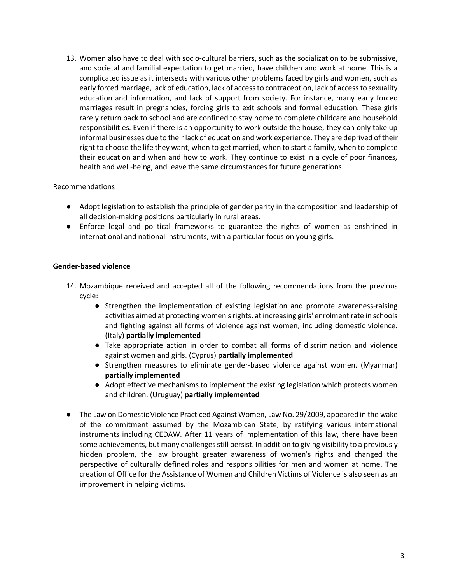13. Women also have to deal with socio-cultural barriers, such as the socialization to be submissive, and societal and familial expectation to get married, have children and work at home. This is a complicated issue as it intersects with various other problems faced by girls and women, such as early forced marriage, lack of education, lack of access to contraception, lack of access to sexuality education and information, and lack of support from society. For instance, many early forced marriages result in pregnancies, forcing girls to exit schools and formal education. These girls rarely return back to school and are confined to stay home to complete childcare and household responsibilities. Even if there is an opportunity to work outside the house, they can only take up informal businesses due to their lack of education and work experience. They are deprived of their right to choose the life they want, when to get married, when to start a family, when to complete their education and when and how to work. They continue to exist in a cycle of poor finances, health and well-being, and leave the same circumstances for future generations.

#### Recommendations

- Adopt legislation to establish the principle of gender parity in the composition and leadership of all decision-making positions particularly in rural areas.
- Enforce legal and political frameworks to guarantee the rights of women as enshrined in international and national instruments, with a particular focus on young girls.

## **Gender-based violence**

- 14. Mozambique received and accepted all of the following recommendations from the previous cycle:
	- Strengthen the implementation of existing legislation and promote awareness-raising activities aimed at protecting women's rights, at increasing girls' enrolment rate in schools and fighting against all forms of violence against women, including domestic violence. (Italy) **partially implemented**
	- Take appropriate action in order to combat all forms of discrimination and violence against women and girls. (Cyprus) **partially implemented**
	- Strengthen measures to eliminate gender-based violence against women. (Myanmar) **partially implemented**
	- Adopt effective mechanisms to implement the existing legislation which protects women and children. (Uruguay) **partially implemented**
- The Law on Domestic Violence Practiced Against Women, Law No. 29/2009, appeared in the wake of the commitment assumed by the Mozambican State, by ratifying various international instruments including CEDAW. After 11 years of implementation of this law, there have been some achievements, but many challenges still persist. In addition to giving visibility to a previously hidden problem, the law brought greater awareness of women's rights and changed the perspective of culturally defined roles and responsibilities for men and women at home. The creation of Office for the Assistance of Women and Children Victims of Violence is also seen as an improvement in helping victims.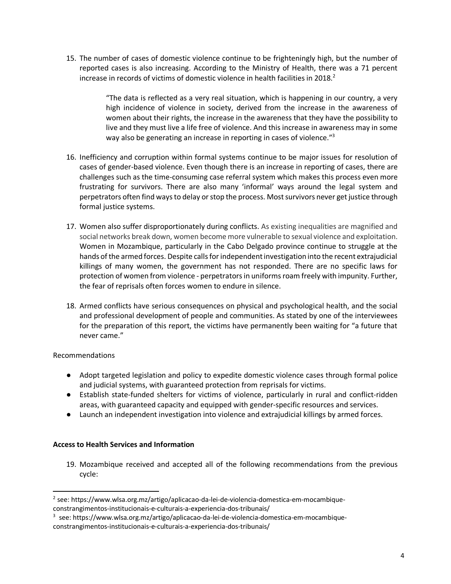15. The number of cases of domestic violence continue to be frighteningly high, but the number of reported cases is also increasing. According to the Ministry of Health, there was a 71 percent increase in records of victims of domestic violence in health facilities in 2018.<sup>2</sup>

> "The data is reflected as a very real situation, which is happening in our country, a very high incidence of violence in society, derived from the increase in the awareness of women about their rights, the increase in the awareness that they have the possibility to live and they must live a life free of violence. And this increase in awareness may in some way also be generating an increase in reporting in cases of violence."<sup>3</sup>

- 16. Inefficiency and corruption within formal systems continue to be major issues for resolution of cases of gender-based violence. Even though there is an increase in reporting of cases, there are challenges such as the time-consuming case referral system which makes this process even more frustrating for survivors. There are also many 'informal' ways around the legal system and perpetrators often find ways to delay or stop the process. Most survivors never get justice through formal justice systems.
- 17. Women also suffer disproportionately during conflicts. As existing inequalities are magnified and social networks break down, women become more vulnerable to sexual violence and exploitation. Women in Mozambique, particularly in the Cabo Delgado province continue to struggle at the hands of the armed forces. Despite calls for independent investigation into the recent extrajudicial killings of many women, the government has not responded. There are no specific laws for protection of women from violence - perpetrators in uniforms roam freely with impunity. Further, the fear of reprisals often forces women to endure in silence.
- 18. Armed conflicts have serious consequences on physical and psychological health, and the social and professional development of people and communities. As stated by one of the interviewees for the preparation of this report, the victims have permanently been waiting for "a future that never came."

#### Recommendations

- Adopt targeted legislation and policy to expedite domestic violence cases through formal police and judicial systems, with guaranteed protection from reprisals for victims.
- Establish state-funded shelters for victims of violence, particularly in rural and conflict-ridden areas, with guaranteed capacity and equipped with gender-specific resources and services.
- Launch an independent investigation into violence and extrajudicial killings by armed forces.

#### **Access to Health Services and Information**

19. Mozambique received and accepted all of the following recommendations from the previous cycle:

 <sup>2</sup> see: https://www.wlsa.org.mz/artigo/aplicacao-da-lei-de-violencia-domestica-em-mocambiqueconstrangimentos-institucionais-e-culturais-a-experiencia-dos-tribunais/

<sup>3</sup> see: https://www.wlsa.org.mz/artigo/aplicacao-da-lei-de-violencia-domestica-em-mocambiqueconstrangimentos-institucionais-e-culturais-a-experiencia-dos-tribunais/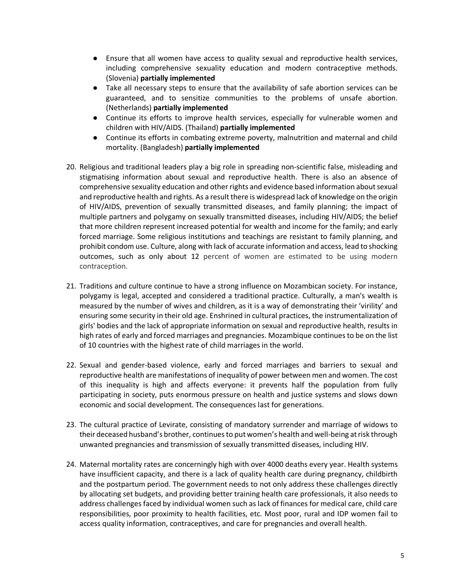- Ensure that all women have access to quality sexual and reproductive health services, including comprehensive sexuality education and modern contraceptive methods. (Slovenia) **partially implemented**
- Take all necessary steps to ensure that the availability of safe abortion services can be guaranteed, and to sensitize communities to the problems of unsafe abortion. (Netherlands) **partially implemented**
- Continue its efforts to improve health services, especially for vulnerable women and children with HIV/AIDS. (Thailand) **partially implemented**
- Continue its efforts in combating extreme poverty, malnutrition and maternal and child mortality. (Bangladesh) **partially implemented**
- 20. Religious and traditional leaders play a big role in spreading non-scientific false, misleading and stigmatising information about sexual and reproductive health. There is also an absence of comprehensive sexuality education and other rights and evidence based information about sexual and reproductive health and rights. As a result there is widespread lack of knowledge on the origin of HIV/AIDS, prevention of sexually transmitted diseases, and family planning; the impact of multiple partners and polygamy on sexually transmitted diseases, including HIV/AIDS; the belief that more children represent increased potential for wealth and income for the family; and early forced marriage. Some religious institutions and teachings are resistant to family planning, and prohibit condom use. Culture, along with lack of accurate information and access, lead to shocking outcomes, such as only about 12 percent of women are estimated to be using modern contraception.
- 21. Traditions and culture continue to have a strong influence on Mozambican society. For instance, polygamy is legal, accepted and considered a traditional practice. Culturally, a man's wealth is measured by the number of wives and children, as it is a way of demonstrating their 'virility' and ensuring some security in their old age. Enshrined in cultural practices, the instrumentalization of girls' bodies and the lack of appropriate information on sexual and reproductive health, results in high rates of early and forced marriages and pregnancies. Mozambique continues to be on the list of 10 countries with the highest rate of child marriages in the world.
- 22. Sexual and gender-based violence, early and forced marriages and barriers to sexual and reproductive health are manifestations of inequality of power between men and women. The cost of this inequality is high and affects everyone: it prevents half the population from fully participating in society, puts enormous pressure on health and justice systems and slows down economic and social development. The consequences last for generations.
- 23. The cultural practice of Levirate, consisting of mandatory surrender and marriage of widows to their deceased husband's brother, continues to put women's health and well-being at risk through unwanted pregnancies and transmission of sexually transmitted diseases, including HIV.
- 24. Maternal mortality rates are concerningly high with over 4000 deaths every year. Health systems have insufficient capacity, and there is a lack of quality health care during pregnancy, childbirth and the postpartum period. The government needs to not only address these challenges directly by allocating set budgets, and providing better training health care professionals, it also needs to address challenges faced by individual women such as lack of finances for medical care, child care responsibilities, poor proximity to health facilities, etc. Most poor, rural and IDP women fail to access quality information, contraceptives, and care for pregnancies and overall health.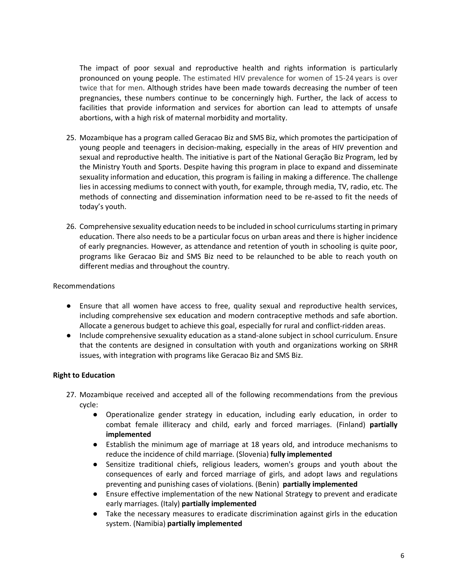The impact of poor sexual and reproductive health and rights information is particularly pronounced on young people. The estimated HIV prevalence for women of 15-24 years is over twice that for men. Although strides have been made towards decreasing the number of teen pregnancies, these numbers continue to be concerningly high. Further, the lack of access to facilities that provide information and services for abortion can lead to attempts of unsafe abortions, with a high risk of maternal morbidity and mortality.

- 25. Mozambique has a program called Geracao Biz and SMS Biz, which promotes the participation of young people and teenagers in decision-making, especially in the areas of HIV prevention and sexual and reproductive health. The initiative is part of the National Geração Biz Program, led by the Ministry Youth and Sports. Despite having this program in place to expand and disseminate sexuality information and education, this program is failing in making a difference. The challenge lies in accessing mediums to connect with youth, for example, through media, TV, radio, etc. The methods of connecting and dissemination information need to be re-assed to fit the needs of today's youth.
- 26. Comprehensive sexuality education needs to be included in school curriculums starting in primary education. There also needs to be a particular focus on urban areas and there is higher incidence of early pregnancies. However, as attendance and retention of youth in schooling is quite poor, programs like Geracao Biz and SMS Biz need to be relaunched to be able to reach youth on different medias and throughout the country.

#### Recommendations

- Ensure that all women have access to free, quality sexual and reproductive health services, including comprehensive sex education and modern contraceptive methods and safe abortion. Allocate a generous budget to achieve this goal, especially for rural and conflict-ridden areas.
- Include comprehensive sexuality education as a stand-alone subject in school curriculum. Ensure that the contents are designed in consultation with youth and organizations working on SRHR issues, with integration with programs like Geracao Biz and SMS Biz.

#### **Right to Education**

- 27. Mozambique received and accepted all of the following recommendations from the previous cycle:
	- Operationalize gender strategy in education, including early education, in order to combat female illiteracy and child, early and forced marriages. (Finland) **partially implemented**
	- Establish the minimum age of marriage at 18 years old, and introduce mechanisms to reduce the incidence of child marriage. (Slovenia) **fully implemented**
	- Sensitize traditional chiefs, religious leaders, women's groups and youth about the consequences of early and forced marriage of girls, and adopt laws and regulations preventing and punishing cases of violations. (Benin) **partially implemented**
	- Ensure effective implementation of the new National Strategy to prevent and eradicate early marriages. (Italy) **partially implemented**
	- Take the necessary measures to eradicate discrimination against girls in the education system. (Namibia) **partially implemented**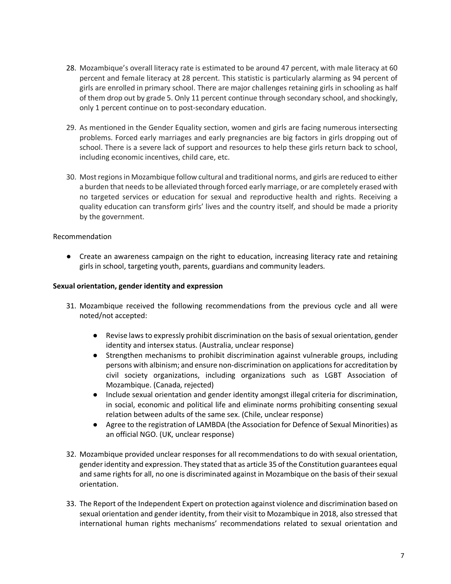- 28. Mozambique's overall literacy rate is estimated to be around 47 percent, with male literacy at 60 percent and female literacy at 28 percent. This statistic is particularly alarming as 94 percent of girls are enrolled in primary school. There are major challenges retaining girls in schooling as half of them drop out by grade 5. Only 11 percent continue through secondary school, and shockingly, only 1 percent continue on to post-secondary education.
- 29. As mentioned in the Gender Equality section, women and girls are facing numerous intersecting problems. Forced early marriages and early pregnancies are big factors in girls dropping out of school. There is a severe lack of support and resources to help these girls return back to school, including economic incentives, child care, etc.
- 30. Most regions in Mozambique follow cultural and traditional norms, and girls are reduced to either a burden that needs to be alleviated through forced early marriage, or are completely erased with no targeted services or education for sexual and reproductive health and rights. Receiving a quality education can transform girls' lives and the country itself, and should be made a priority by the government.

#### Recommendation

● Create an awareness campaign on the right to education, increasing literacy rate and retaining girls in school, targeting youth, parents, guardians and community leaders.

#### **Sexual orientation, gender identity and expression**

- 31. Mozambique received the following recommendations from the previous cycle and all were noted/not accepted:
	- Revise laws to expressly prohibit discrimination on the basis of sexual orientation, gender identity and intersex status. (Australia, unclear response)
	- Strengthen mechanisms to prohibit discrimination against vulnerable groups, including persons with albinism; and ensure non-discrimination on applications for accreditation by civil society organizations, including organizations such as LGBT Association of Mozambique. (Canada, rejected)
	- Include sexual orientation and gender identity amongst illegal criteria for discrimination, in social, economic and political life and eliminate norms prohibiting consenting sexual relation between adults of the same sex. (Chile, unclear response)
	- Agree to the registration of LAMBDA (the Association for Defence of Sexual Minorities) as an official NGO. (UK, unclear response)
- 32. Mozambique provided unclear responses for all recommendations to do with sexual orientation, gender identity and expression. They stated that as article 35 of the Constitution guarantees equal and same rights for all, no one is discriminated against in Mozambique on the basis of their sexual orientation.
- 33. The Report of the Independent Expert on protection against violence and discrimination based on sexual orientation and gender identity, from their visit to Mozambique in 2018, also stressed that international human rights mechanisms' recommendations related to sexual orientation and